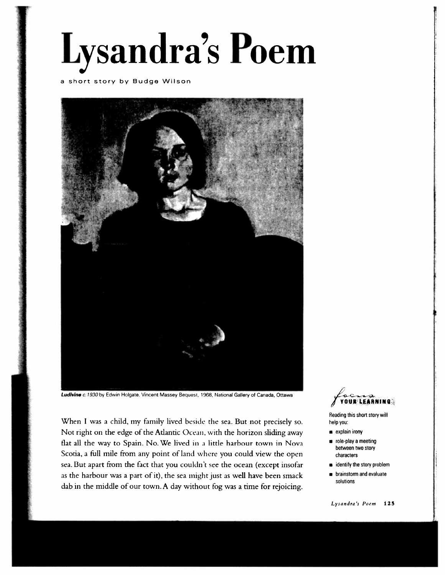## 1 ysandras roem

<sup>a</sup> short story by Budge Wilson



Ludivine c. 1930 by Edwin Holgate. Vincent Massey Bequest, 1968, National Gallery of Canada, Ottawa

When I was <sup>a</sup> child, my family lived beside the sea. But not precisely so. Not right on the edge of the Atlantic Ocean. with the horizon sliding away flat all the way to Spain. No. We lived in <sup>a</sup> little harbour town in Nova Scotia, <sup>a</sup> full mile from any point of land where you could view the open sea. But apar<sup>t</sup> from the fact that you couldn't see the ocean (except insofar as the harbour was <sup>a</sup> par<sup>t</sup> of it), the sea might just as well have been smack dab in the middle of our town.A day without fog was <sup>a</sup> time for rejoicing.



Reading this short story will help you:

- explain irony
- role-play <sup>a</sup> meeting between two story characters
- identify the story problem
- brainstorm and evaluate solutions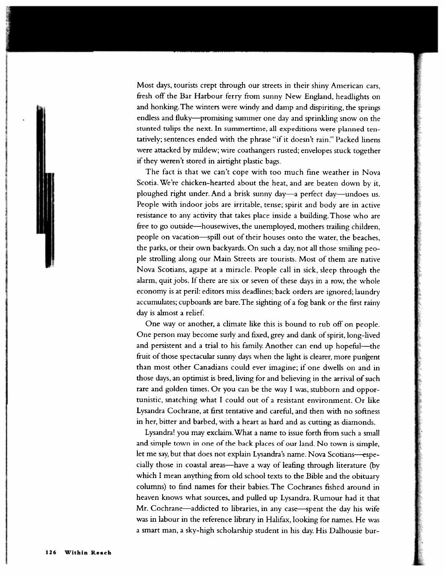Most days, tourists crep<sup>t</sup> through our streets in their shiny American cars, fresh off the Bar Harbour ferry from sunny New England, headlights on and honking.The winters were windy and damp and dispiriting, the springs endless and fluky—promising summer one day and sprinkling snow on the stunted tulips the next. In summertime, all expeditions were <sup>p</sup>lanned ten tatively; sentences ended with the phrase "if it doesn't rain." Packed linens were attacked by mildew; wire coathangers rusted; envelopes stuck together if they weren't stored in airtight plastic bags.

The fact is that we can't cope with too much fine weather in Nova Scotia. We're chicken-hearted about the heat, and are beaten down by it, <sup>p</sup>loughed right under. And <sup>a</sup> brisk sunny day—a perfect day—undoes us. People with indoor jobs are irritable, tense; spirit and body are in active resistance to any activity that takes place inside <sup>a</sup> building. Those who are free to go outside—housewives, the unemployed, mothers trailing children, people on vacation—spill Out of their houses onto the water, the beaches, the parks, or their own backyards. On such <sup>a</sup> day, not all those smiling peo ple strolling along our Main Streets are tourists. Most of them are native Nova Scotians, agape at <sup>a</sup> miracle. People call in sick, sleep through the alarm, quit jobs. If there are six or seven of these days in <sup>a</sup> row, the whole economy is at peril: editors miss deadlines; back orders are ignored; laundry accumulates; cupboards are bare. The sighting of <sup>a</sup> fog bank or the first rainy day is almost <sup>a</sup> relief.

One way or another, <sup>a</sup> climate like this is bound to rub off on people. One person may become surly and fixed, grey and dank of spirit, long-lived and persistent and <sup>a</sup> trial to his family. Another can end up hopeful—the fruit of those spectacular sunny days when the light is clearer, more pungent than most other Canadians could ever imagine; if one dwells on and in those days, an optimist is bred, living for and believing in the arrival of such rare and golden times. Or you can be the way <sup>I</sup> was, stubborn and oppor tunistic, snatching what I could out of <sup>a</sup> resistant environment. Or like Lysandra Cochrane, at first tentative and careful, and then with no softness in her, bitter and barbed, with <sup>a</sup> heart as hard and as cutting as diamonds.

Lysandra! you may exclaim.What <sup>a</sup> name to issue forth from such <sup>a</sup> small and simple town in one of the back places of our land. No town is simple, let me say, but that does not explain Lysandra's name. Nova Scotians—espe cially those in coastal areas—have <sup>a</sup> way of leafing through literature (by which <sup>I</sup> mean anything from old school texts to the Bible and the obituary columns) to find names for their babies. The Cochranes fished around in heaven knows what sources, and pulled up Lysandra. Rumour had it that Mr. Cochrane—addicted to libraries, in any case—spen<sup>t</sup> the day his wife was in labour in the reference library in Halifax, looking for names. He was <sup>a</sup> smart man, <sup>a</sup> sky-high scholarship student in his day. His Daihousie bur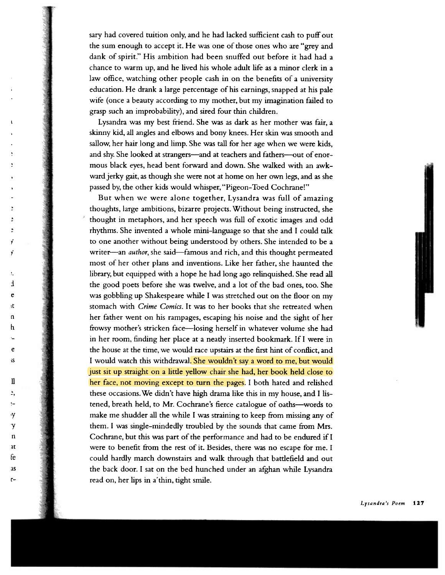sary had covered tuition only, and he had lacked sufficient cash to puff out the sum enough to accep<sup>t</sup> it. He was one of those ones who are "grey and dank of spirit." His ambition had been snuffed out before it had had <sup>a</sup> chance to warm up, and he lived his whole adult life as <sup>a</sup> minor clerk in <sup>a</sup> law office, watching other people cash in on the benefits of <sup>a</sup> university education. He drank <sup>a</sup> large percentage of his earnings, snapped at his pale wife (once <sup>a</sup> beauty according to my mother, but my imagination failed to grasp such an improbability), and sired four thin children.

Lysandra was my best friend. She was as dark as her mother was fair, <sup>a</sup> skinny kid, all angles and elbows and bony knees. Her skin was smooth and sallow, her hair long and limp. She was tall for her age when we were kids, and shy. She looked at strangers—and at teachers and fathers—out of enor mous black eyes, head bent forward and down. She walked with an awk ward jerky gait, as though she were not at home on her own legs, and as she passed by, the other kids would whisper, "Pigeon-Toed Cochrane!"

But when we were alone together, Lysandra was full of amazing thoughts, large ambitions, bizarre projects. Without being instructed, she thought in metaphors, and her speech was full of exotic images and odd rhythms. She invented <sup>a</sup> whole mini-language so that she and I could talk to one another without being understood by others. She intended to be <sup>a</sup> writer—an author, she said—famous and rich, and this thought permeated most of her other plans and inventions. Like her father, she haunted the library, but equipped with a hope he had long ago relinquished. She read all the good poets before she was twelve, and <sup>a</sup> lot of the bad ones, too. She was gobbling up Shakespeare while <sup>I</sup> was stretched out on the floor on my stomach with Crime Comics. It was to her books that she retreated when her father went on his rampages, escaping his noise and the sight of her frowsy mother's stricken face—losing herself in whatever volume she had in her room, finding her place at <sup>a</sup> neatly inserted bookmark. If I were in the house at the time, we would race upstairs at the first hint of conflict, and I would watch this withdrawal. She wouldn't say a word to me, but would just sit up straight on <sup>a</sup> little yellow chair she had, her book held close to her face, not moving excep<sup>t</sup> to turn the pages. I both hated and relished these occasions. We didn't have high drama like this in my house, and <sup>I</sup> lis tened, breath held, to Mr. Cochrane's fierce catalogue of oaths—words to make me shudder all the while <sup>I</sup> was straining to keep from missing any of them. I was single-mindedly troubled by the sounds that came from Mrs. Cochrane, but this was par<sup>t</sup> of the performance and had to be endured if I were to benefit from the rest of it. Besides, there was no escape for me. <sup>I</sup> could hardly march downstairs and walk through that battlefield and out the back door. I sat on the bed hunched under an afghan while Lysandra read on, her lips in a thin, tight smile.

e tt ri b

 $\mathbf{f}$ 

e

šS.

II

÷.  $\cdot$ y

y n at le as

 $r-$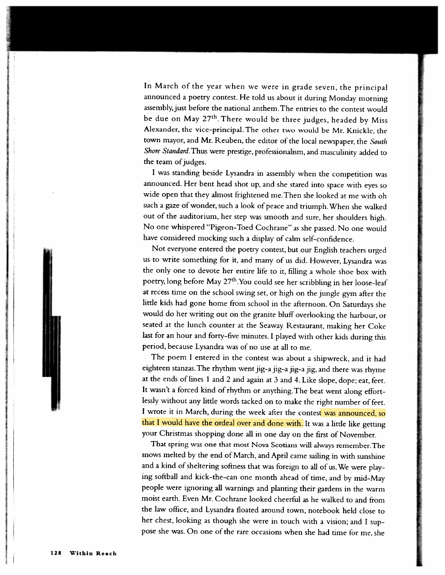In March of the year when we were in grade seven, the principal announced <sup>a</sup> poetry contest. He told us about it during Monday morning assembly, just before the national anthem. The entries to the contest would be due on May 27<sup>th</sup>. There would be three judges, headed by Miss Alexander, the vice-principal. The other two would be Mr. Knickle, the town mayor, and Mr. Reuben, the editor of the local newspaper, the South Shore Standard.Thus were prestige, professionalism, and masculinity added to the team of judges.

<sup>I</sup> was standing beside Lysandra in assembly when the competition was announced. Her bent head shot up, and she stared into space with eyes so wide open that they almost frightened me. Then she looked at me with oh such a gaze of wonder, such a look of peace and triumph. When she walked out of the auditorium, her step was smooth and sure, her shoulders high. No one whispered "Pigeon-Toed Cochrane" as she passed. No one would have considered mocking such <sup>a</sup> display of calm self-confidence.

Not everyone entered the poetry contest, but our English teachers urged us to write something for it, and many of us did. However, Lysandra was the only one to devote her entire life to it, filling <sup>a</sup> whole shoe box with poetry, long before May 27<sup>th</sup>. You could see her scribbling in her loose-leaf at recess time on the school swing set, or high on the jungle gym after the little kids had gone home from school in the afternoon. On Saturdays she would do her writing out on the granite bluff overlooking the harbour, or seated at the lunch counter at the Seaway Restaurant, making her Coke last for an hour and forty-five minutes. <sup>I</sup> <sup>p</sup>layed with other kids during this period, because Lysandra was of no use at all to me.

The poem <sup>I</sup> entered in the contest was about <sup>a</sup> shipwreck, and it had eighteen stanzas.The rhythm went jig-a jig—a jig—a jig, and there was rhyme at the ends of lines 1 and 2 and again at 3 and 4. Like slope, dope; eat, feet. It wasn't <sup>a</sup> forced kind of rhythm or anything.The beat went along effort lessly without any little words tacked on to make the right number of feet. I wrote it in March, during the week after the contest was announced, so that I would have the ordeal over and done with. It was a little like getting your Christmas shopping done all in one day on the first of November.

That spring was one that most Nova Scotians will always remember. The snows melted by the end of March, and April came sailing in with sunshine and a kind of sheltering softness that was foreign to all of us. We were playing softball and kick-the-can one month ahead of time, and by mid-May people were ignoring all warnings and <sup>p</sup>lanting their gardens in the warm moist earth. Even Mr. Cochrane looked cheerful as he walked to and from the law office, and Lysandra floated around town, notebook held close to her chest, looking as though she were in touch with <sup>a</sup> vision; and <sup>I</sup> sup pose she was. On one of the rare occasions when she had time for me, she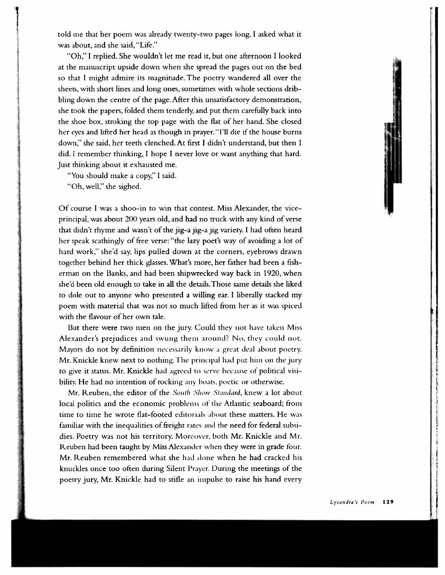told me that her poem was already twenty-two pages long. I asked what it was about, and she said, "Life."

"Oh," I replied. She wouldn't let me read it, but one afternoon I looked at the manuscript upside down when she spread the pages out on the bed so that I might admire its magnitude. The poetry wandered all over the sheets, with short lines and long ones, sometimes with whole sections drib bling down the centre of the page. After this unsatisfactory demonstration, she took the papers, folded them tenderly, and pu<sup>t</sup> them carefully back into the shoe box, stroking the top page with the flat of her hand. She closed her eyes and lifted her head as though in prayer. "I'll die if the house burns down,' she said, her teeth clenched. At first I didn't understand, but then I did. I remember thinking, I hope I never love or want anything that hard. Just thinking about it exhausted me.

"You should make <sup>a</sup> copy," I said.

"Oh, well," she sighed.

Of course I was <sup>a</sup> shoo—in to win that contest. Miss Alexander, the vice principal, was about 200 years old, and had no truck with any kind of verse that didn't rhyme and wasn't of the jig-a jig-a jig variety. I had often heard her speak scathingly of free verse: "the lazy poet's way of avoiding <sup>a</sup> lot of hard work," she'd say, lips pulled down at the corners, eyebrows drawn together behind her thick glasses.What's more, her father had been <sup>a</sup> fish erman on the Banks, and had been shipwrecked way back in 1920, when she'd been old enough to take in all the details.Those same details she liked to dole out to anyone who presented <sup>a</sup> willing ear. I liberally stacked my poem with material that was not so much lifted from her as it was spiced with the flavour of her own tale.

But there were two men on the jury. Could they not have taken Miss Alexander's prejudices and swung them around? No, they could not. Mayors do not by definition necessarily know <sup>a</sup> grea<sup>t</sup> deal about poetry. Mr. Knickle knew next to nothing. The principal had pu<sup>t</sup> him on the jury to give it status. Mr. Knickle had agreed to serve because of political visi bility. He had no intention of rocking any boats, poetic or otherwise.

Mr. Reuben, the editor of the South Shore Standard, knew a lot about local politics and the economic problems of the Atlantic seaboard; from time to time he wrote flat—footed editorials about these matters. He was familiar with the inequalities of freight rates and the need for federal subsi dies. Poetry was not his territory. Moreover, both Mr. Knickle and Mr. Reuben had been taught by Miss Alexander when they were in grade four. Mr. Reuben remembered what she had done when he had cracked his knuckles once too often during Silent Prayer. During the meetings of the poetry jury, Mr. Knickle had to stifle an impulse to raise his hand every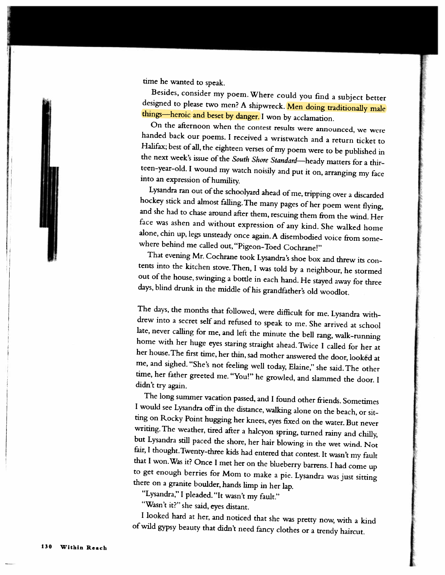time he wanted to speak.

Besides, consider my poem. Where could you find a subject better designed to please two men? A shipwreck. Men doing traditionally male things—heroic and beset by danger. I won by acclamation. On the afternoon when the contest results were announced, we were

handed back our poems. I received a wristwatch and a return ticket to Halifax; best of all, the eighteen verses of my poem were to be published in the next week's issue of the *South Shore Standard*—heady matters for a thi

hockey stick and almost falling. The many pages of her poem went flying,<br>and she had to chase around after them, rescuing them from the wind. Her<br>face was ashen and without expression of any kind. She walked home<br>alone, ch alone, chin up, legs unsteady once again. A disembodied voice from some-

That evening Mr. Cochrane took Lysandra's shoe box and threw its con tents into the kitchen stove. Then, <sup>I</sup> was told by <sup>a</sup> neighbour, he stormed out of the house, swinging <sup>a</sup> bottle in each hand. He stayed away for three days, blind drunk in the middle of his grandfather's old woodlot.

The days, the months that followed, were difficult for me. Lysandra with-<br>drew into a secret self and refused to speak to me. She arrived at school<br>late, never calling for me, and left the minute the bell rang, walk-runnin time, her father greeted me. "You!" he growled, and slammed the door. I didn't try again.

The long summer vacation passed, and I found other friends. Sometimes I would see Lysandra off in the distance, walking alone on the beach, or sitting on Rocky Point hugging her knees, eyes fixed on the water. But never<br>writing. The weather, tired after a halcyon spring, turned rainy and chilly,<br>but Lysandra still paced the shore, her hair blowing in the wet wind. N

"Lysandra," <sup>I</sup> <sup>p</sup>leaded. "It wasn't my fault."

"Wasn't it?" she said, eyes distant. of wild gypsy beauty that didn't need fancy clothes or a trendy haircut.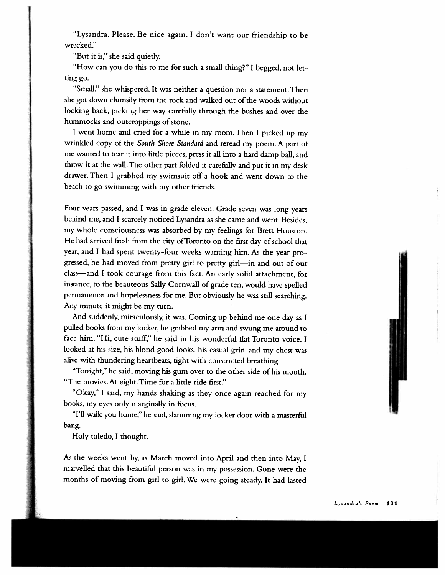"Lysandra. Please. Be nice again. <sup>I</sup> don't want our friendship to be wrecked."

"But it is," she said quietly.

"How can you do this to me for such a small thing?" I begged, not letting go.

"Small," she whispered. It was neither <sup>a</sup> question nor <sup>a</sup> statement. Then she got down clumsily from the rock and walked out of the woods without looking back, <sup>p</sup>icking her way carefully through the bushes and over the hummocks and outcroppings of stone.

<sup>I</sup> went home and cried for <sup>a</sup> while in my room. Then <sup>I</sup> <sup>p</sup>icked up my wrinkled copy of the South Shore Standard and reread my poem. <sup>A</sup> part of me wanted to tear it into little <sup>p</sup>ieces, press it all into <sup>a</sup> hard damp ball, and throw it at the wall.The other part folded it carefully and put it in my desk drawer. Then <sup>I</sup> grabbed my swimsuit off <sup>a</sup> hook and went down to the beach to go swimming with my other friends.

Four years passed, and <sup>I</sup> was in grade eleven. Grade seven was long years behind me, and <sup>I</sup> scarcely noticed Lysandra as she came and went. Besides, my whole consciousness was absorbed by my feelings for Brett Houston. He had arrived fresh from the city of Toronto on the first day of school that year, and <sup>I</sup> had spent twenty-four weeks wanting him. As the year pro gressed, he had moved from pretty <sup>g</sup>irl to pretty <sup>g</sup>irl—in and out of our class—and <sup>I</sup> took courage from this fact. An early solid attachment, for instance, to the beauteous Sally Cornwall of grade ten, would have spelled permanence and hopelessness for me. But obviously he was still searching. Any minute it might be my turn.

And suddenly, miraculously, it was. Coming up behind me one day as <sup>I</sup> pulled books from my locker, he grabbed my arm and swung me around to face him. "Hi, cute stuff," he said in his wonderful flat Toronto voice. I looked at his size, his blond good looks, his casual grin, and my chest was alive with thundering heartbeats, tight with constricted breathing.

"Tonight," he said, moving his gum over to the other side of his mouth. "The movies. At eight.Time for <sup>a</sup> little ride first."

"Okay," <sup>I</sup> said, my hands shaking as they once again reached for my books, my eyes only marginally in focus.

"I'll walk you home," he said, slamming my locker door with <sup>a</sup> masterful bang.

Holy toledo, I thought.

As the weeks went by, as March moved into April and then into May, <sup>I</sup> marvelled that this beautiful person was in my possession. Gone were the months of moving from <sup>g</sup>irl to <sup>g</sup>irl. We were going steady. It had lasted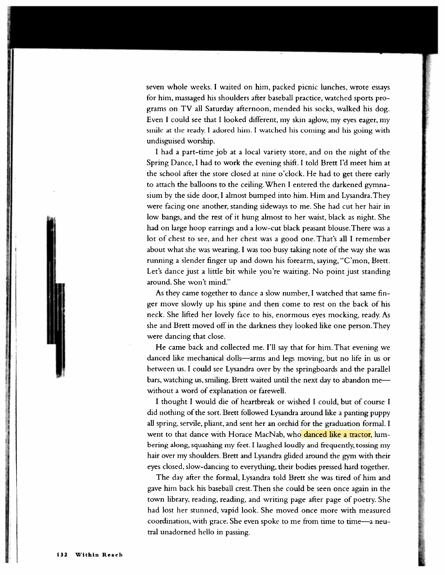seven whole weeks. I waited on him, packed picnic lunches, wrote essays for him, massaged his shoulders after baseball practice, watched sports pro grams on TV all Saturday afternoon, mended his socks, walked his dog. Even I could see that I looked different, my skin aglow, my eyes eager, my smile at the ready. I adored him. I watched his coming and his going with undisguised worship.

I had <sup>a</sup> part—time job at <sup>a</sup> local variety store, and on the night of the Spring Dance, I had to work the evening shift. I told Brett I'd meet him at the school after the store closed at nine <sup>o</sup>'clock. He had to ge<sup>t</sup> there early to attach the balloons to the ceiling. When I entered the darkened gymna sium by the side door, I almost bumped into him. Him and Lysandra.They were facing one another, standing sideways to me. She had cut her hair in low bangs, and the rest of it hung almost to her waist, black as night. She had on large hoop earrings and <sup>a</sup> low—cut black peasan<sup>t</sup> blouse.There was <sup>a</sup> lot of chest to see, and her chest was <sup>a</sup> good one. That's all I remember about what she was wearing. <sup>I</sup> was too busy taking note of the way she was running <sup>a</sup> slender finger up and down his forearm, saying, "C'mon, Brett. Let's dance just <sup>a</sup> little bit while you're waiting. No point just standing around. She won't mind."

As they came together to dance <sup>a</sup> slow number, I watched that same fin ger move slowly up his spine and then come to rest on the back of his neck. She lifted her lovely face to his, enormous eyes mocking, ready. As she and Brett moved off in the darkness they looked like one person.They were dancing that close.

He came back and collected me. I'll say that for him. That evening we danced like mechanical dolls—arms and legs moving, but no life in us or between us. <sup>I</sup> could see Lysandra over by the springboards and the parallel bars, watching us, smiling. Brett waited until the next day to abandon me without <sup>a</sup> word of explanation or farewell.

I thought I would die of heartbreak or wished I could, but of course I did nothing of the sort. Brett followed Lysandra around like a panting puppy all spring, servile, pliant, and sent her an orchid for the graduation formal. I went to that dance with Horace MacNab, who danced like a tractor, lumbering along, squashing my feet. <sup>I</sup> laughed loudly and frequently, tossing my hair over my shoulders. Brett and Lysandra glided around the gym with their eyes closed, slow-dancing to everything, their bodies pressed hard together.

The day after the formal, Lysandra told Brett she was tired of him and gave him back his baseball crest.Then she could be seen once again in the town library, reading, reading, and writing page after page of poetry. She had lost her stunned, vapid look. She moved once more with measured coordination, with grace. She even spoke to me from time to time—a neu tral unadorned hello in passing.